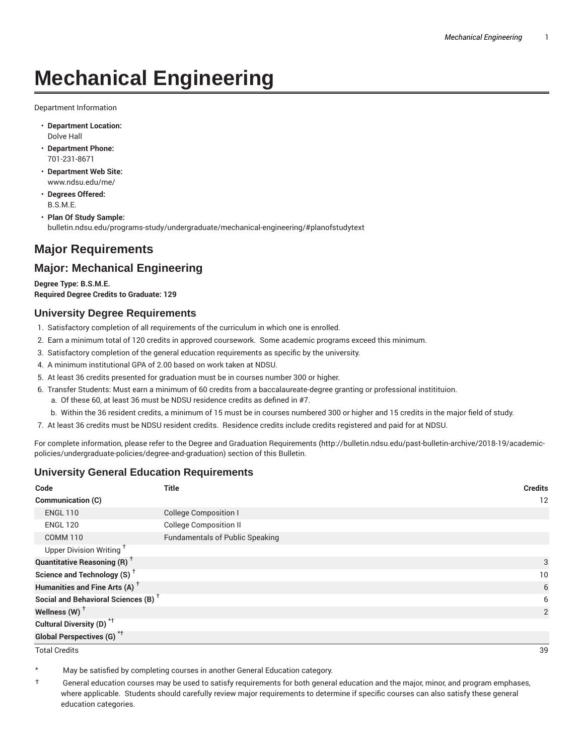# **Mechanical Engineering**

Department Information

- **Department Location:** Dolve Hall
- **Department Phone:** 701-231-8671
- **Department Web Site:** www.ndsu.edu/me/
- **Degrees Offered:** B.S.M.E.
- **Plan Of Study Sample:** bulletin.ndsu.edu/programs-study/undergraduate/mechanical-engineering/#planofstudytext

## **Major Requirements**

### **Major: Mechanical Engineering**

**Degree Type: B.S.M.E. Required Degree Credits to Graduate: 129**

#### **University Degree Requirements**

- 1. Satisfactory completion of all requirements of the curriculum in which one is enrolled.
- 2. Earn a minimum total of 120 credits in approved coursework. Some academic programs exceed this minimum.
- 3. Satisfactory completion of the general education requirements as specific by the university.
- 4. A minimum institutional GPA of 2.00 based on work taken at NDSU.
- 5. At least 36 credits presented for graduation must be in courses number 300 or higher.
- 6. Transfer Students: Must earn a minimum of 60 credits from a baccalaureate-degree granting or professional institituion.
	- a. Of these 60, at least 36 must be NDSU residence credits as defined in #7.
	- b. Within the 36 resident credits, a minimum of 15 must be in courses numbered 300 or higher and 15 credits in the major field of study.
- 7. At least 36 credits must be NDSU resident credits. Residence credits include credits registered and paid for at NDSU.

For complete information, please refer to the Degree and Graduation Requirements (http://bulletin.ndsu.edu/past-bulletin-archive/2018-19/academicpolicies/undergraduate-policies/degree-and-graduation) section of this Bulletin.

#### **University General Education Requirements**

| Code                                            | <b>Title</b>                           | <b>Credits</b> |
|-------------------------------------------------|----------------------------------------|----------------|
| Communication (C)                               |                                        | 12             |
| <b>ENGL 110</b>                                 | <b>College Composition I</b>           |                |
| <b>ENGL 120</b>                                 | <b>College Composition II</b>          |                |
| <b>COMM 110</b>                                 | <b>Fundamentals of Public Speaking</b> |                |
| Upper Division Writing <sup>+</sup>             |                                        |                |
| <b>Quantitative Reasoning (R)</b> <sup>†</sup>  |                                        | 3              |
| Science and Technology (S) <sup>+</sup>         |                                        | 10             |
| Humanities and Fine Arts (A) <sup>+</sup>       |                                        | 6              |
| Social and Behavioral Sciences (B) <sup>+</sup> |                                        | 6              |
| Wellness $(W)$ <sup>+</sup>                     |                                        | 2              |
| Cultural Diversity (D) <sup>*†</sup>            |                                        |                |
| <b>Global Perspectives (G)<sup>*†</sup></b>     |                                        |                |

Total Credits 39

May be satisfied by completing courses in another General Education category.

† General education courses may be used to satisfy requirements for both general education and the major, minor, and program emphases, where applicable. Students should carefully review major requirements to determine if specific courses can also satisfy these general education categories.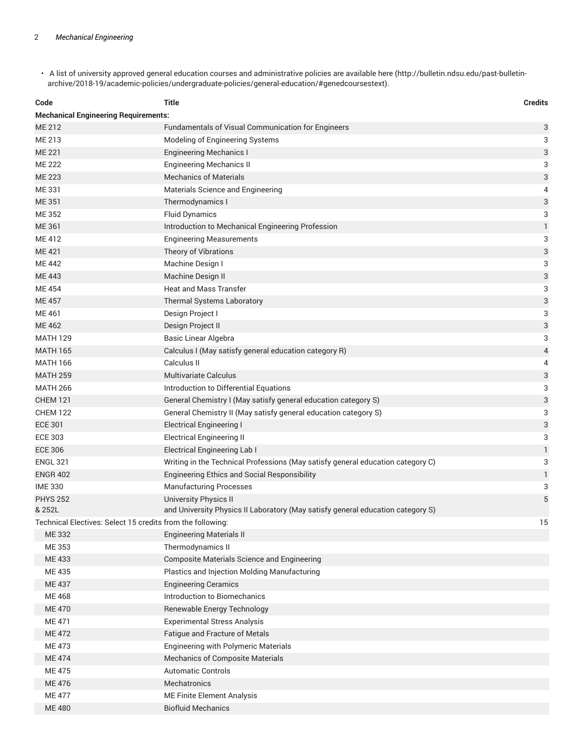• A list of university approved general education courses and administrative policies are available here (http://bulletin.ndsu.edu/past-bulletinarchive/2018-19/academic-policies/undergraduate-policies/general-education/#genedcoursestext).

| Code                                                             | Title                                                                           | <b>Credits</b> |  |  |
|------------------------------------------------------------------|---------------------------------------------------------------------------------|----------------|--|--|
| <b>Mechanical Engineering Requirements:</b>                      |                                                                                 |                |  |  |
| <b>ME 212</b>                                                    | Fundamentals of Visual Communication for Engineers                              | 3              |  |  |
| ME 213                                                           | Modeling of Engineering Systems                                                 | 3              |  |  |
| <b>ME 221</b>                                                    | <b>Engineering Mechanics I</b>                                                  | 3              |  |  |
| <b>ME 222</b>                                                    | <b>Engineering Mechanics II</b>                                                 | 3              |  |  |
| <b>ME 223</b>                                                    | <b>Mechanics of Materials</b>                                                   | 3              |  |  |
| ME 331                                                           | Materials Science and Engineering                                               | 4              |  |  |
| <b>ME 351</b>                                                    | Thermodynamics I                                                                | 3              |  |  |
| ME 352                                                           | <b>Fluid Dynamics</b>                                                           | 3              |  |  |
| ME 361                                                           | Introduction to Mechanical Engineering Profession                               | $\mathbf{1}$   |  |  |
| <b>ME412</b>                                                     | <b>Engineering Measurements</b>                                                 | 3              |  |  |
| <b>ME421</b>                                                     | Theory of Vibrations                                                            | 3              |  |  |
| <b>ME 442</b>                                                    | Machine Design I                                                                | 3              |  |  |
| <b>ME 443</b>                                                    | Machine Design II                                                               | 3              |  |  |
| ME 454                                                           | <b>Heat and Mass Transfer</b>                                                   | 3              |  |  |
| <b>ME457</b>                                                     | Thermal Systems Laboratory                                                      | 3              |  |  |
| ME 461                                                           | Design Project I                                                                | 3              |  |  |
| <b>ME462</b>                                                     | Design Project II                                                               | 3              |  |  |
| <b>MATH 129</b>                                                  | Basic Linear Algebra                                                            | 3              |  |  |
| <b>MATH 165</b>                                                  | Calculus I (May satisfy general education category R)                           | 4              |  |  |
| <b>MATH 166</b>                                                  | Calculus II                                                                     | 4              |  |  |
| <b>MATH 259</b>                                                  | <b>Multivariate Calculus</b>                                                    | 3              |  |  |
| <b>MATH 266</b>                                                  | Introduction to Differential Equations                                          | 3              |  |  |
| <b>CHEM 121</b>                                                  | General Chemistry I (May satisfy general education category S)                  | 3              |  |  |
| <b>CHEM 122</b>                                                  | General Chemistry II (May satisfy general education category S)                 | 3              |  |  |
| <b>ECE 301</b>                                                   | <b>Electrical Engineering I</b>                                                 | 3              |  |  |
| <b>ECE 303</b>                                                   | <b>Electrical Engineering II</b>                                                | 3              |  |  |
| <b>ECE 306</b>                                                   | <b>Electrical Engineering Lab I</b>                                             | 1              |  |  |
| <b>ENGL 321</b>                                                  | Writing in the Technical Professions (May satisfy general education category C) | 3              |  |  |
| <b>ENGR 402</b>                                                  | Engineering Ethics and Social Responsibility                                    | $\mathbf{1}$   |  |  |
| <b>IME 330</b>                                                   | <b>Manufacturing Processes</b>                                                  | 3              |  |  |
| <b>PHYS 252</b>                                                  | <b>University Physics II</b>                                                    | 5              |  |  |
| & 252L                                                           | and University Physics II Laboratory (May satisfy general education category S) |                |  |  |
| 15<br>Technical Electives: Select 15 credits from the following: |                                                                                 |                |  |  |
| ME 332                                                           | <b>Engineering Materials II</b>                                                 |                |  |  |
| ME 353                                                           | Thermodynamics II                                                               |                |  |  |
| ME 433                                                           | Composite Materials Science and Engineering                                     |                |  |  |
| ME 435                                                           | Plastics and Injection Molding Manufacturing                                    |                |  |  |
| ME 437                                                           | <b>Engineering Ceramics</b>                                                     |                |  |  |
| ME 468                                                           | Introduction to Biomechanics                                                    |                |  |  |
| <b>ME470</b>                                                     | Renewable Energy Technology                                                     |                |  |  |
| ME 471                                                           | <b>Experimental Stress Analysis</b>                                             |                |  |  |
| <b>ME 472</b>                                                    | Fatigue and Fracture of Metals                                                  |                |  |  |
| ME 473                                                           | <b>Engineering with Polymeric Materials</b>                                     |                |  |  |
| <b>ME474</b>                                                     | <b>Mechanics of Composite Materials</b>                                         |                |  |  |
| <b>ME 475</b>                                                    | <b>Automatic Controls</b>                                                       |                |  |  |
| ME 476                                                           | Mechatronics                                                                    |                |  |  |
| <b>ME 477</b>                                                    | ME Finite Element Analysis                                                      |                |  |  |
| <b>ME480</b>                                                     | <b>Biofluid Mechanics</b>                                                       |                |  |  |